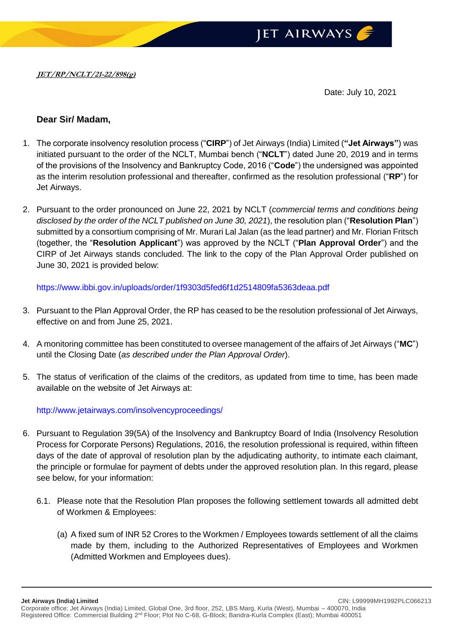

Date: July 10, 2021

## **Dear Sir/ Madam,**

- 1. The corporate insolvency resolution process ("**CIRP**") of Jet Airways (India) Limited (**"Jet Airways"**) was initiated pursuant to the order of the NCLT, Mumbai bench ("**NCLT**") dated June 20, 2019 and in terms of the provisions of the Insolvency and Bankruptcy Code, 2016 ("**Code**") the undersigned was appointed as the interim resolution professional and thereafter, confirmed as the resolution professional ("**RP**") for Jet Airways.
- 2. Pursuant to the order pronounced on June 22, 2021 by NCLT (*commercial terms and conditions being disclosed by the order of the NCLT published on June 30, 2021*), the resolution plan ("**Resolution Plan**") submitted by a consortium comprising of Mr. Murari Lal Jalan (as the lead partner) and Mr. Florian Fritsch (together, the "**Resolution Applicant**") was approved by the NCLT ("**Plan Approval Order**") and the CIRP of Jet Airways stands concluded. The link to the copy of the Plan Approval Order published on June 30, 2021 is provided below:

<https://www.ibbi.gov.in/uploads/order/1f9303d5fed6f1d2514809fa5363deaa.pdf>

- 3. Pursuant to the Plan Approval Order, the RP has ceased to be the resolution professional of Jet Airways, effective on and from June 25, 2021.
- 4. A monitoring committee has been constituted to oversee management of the affairs of Jet Airways ("**MC**") until the Closing Date (*as described under the Plan Approval Order*).
- 5. The status of verification of the claims of the creditors, as updated from time to time, has been made available on the website of Jet Airways at:

<http://www.jetairways.com/insolvencyproceedings/>

- 6. Pursuant to Regulation 39(5A) of the Insolvency and Bankruptcy Board of India (Insolvency Resolution Process for Corporate Persons) Regulations, 2016, the resolution professional is required, within fifteen days of the date of approval of resolution plan by the adjudicating authority, to intimate each claimant, the principle or formulae for payment of debts under the approved resolution plan. In this regard, please see below, for your information:
	- 6.1. Please note that the Resolution Plan proposes the following settlement towards all admitted debt of Workmen & Employees:
		- (a) A fixed sum of INR 52 Crores to the Workmen / Employees towards settlement of all the claims made by them, including to the Authorized Representatives of Employees and Workmen (Admitted Workmen and Employees dues).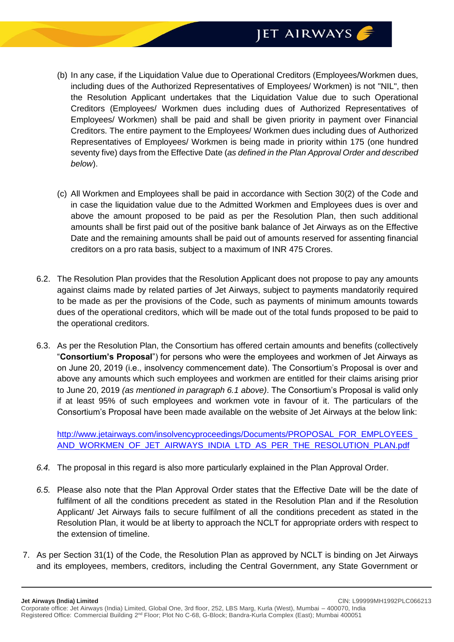

- (b) In any case, if the Liquidation Value due to Operational Creditors (Employees/Workmen dues, including dues of the Authorized Representatives of Employees/ Workmen) is not "NIL", then the Resolution Applicant undertakes that the Liquidation Value due to such Operational Creditors (Employees/ Workmen dues including dues of Authorized Representatives of Employees/ Workmen) shall be paid and shall be given priority in payment over Financial Creditors. The entire payment to the Employees/ Workmen dues including dues of Authorized Representatives of Employees/ Workmen is being made in priority within 175 (one hundred seventy five) days from the Effective Date (*as defined in the Plan Approval Order and described below*).
- (c) All Workmen and Employees shall be paid in accordance with Section 30(2) of the Code and in case the liquidation value due to the Admitted Workmen and Employees dues is over and above the amount proposed to be paid as per the Resolution Plan, then such additional amounts shall be first paid out of the positive bank balance of Jet Airways as on the Effective Date and the remaining amounts shall be paid out of amounts reserved for assenting financial creditors on a pro rata basis, subject to a maximum of INR 475 Crores.
- 6.2. The Resolution Plan provides that the Resolution Applicant does not propose to pay any amounts against claims made by related parties of Jet Airways, subject to payments mandatorily required to be made as per the provisions of the Code, such as payments of minimum amounts towards dues of the operational creditors, which will be made out of the total funds proposed to be paid to the operational creditors.
- 6.3. As per the Resolution Plan, the Consortium has offered certain amounts and benefits (collectively "**Consortium's Proposal**") for persons who were the employees and workmen of Jet Airways as on June 20, 2019 (i.e., insolvency commencement date). The Consortium's Proposal is over and above any amounts which such employees and workmen are entitled for their claims arising prior to June 20, 2019 *(as mentioned in paragraph 6.1 above)*. The Consortium's Proposal is valid only if at least 95% of such employees and workmen vote in favour of it. The particulars of the Consortium's Proposal have been made available on the website of Jet Airways at the below link:

[http://www.jetairways.com/insolvencyproceedings/Documents/PROPOSAL\\_FOR\\_EMPLOYEES\\_](http://www.jetairways.com/insolvencyproceedings/Documents/PROPOSAL_FOR_EMPLOYEES_AND_WORKMEN_OF_JET_AIRWAYS_INDIA_LTD_AS_PER_THE_RESOLUTION_PLAN.pdf) [AND\\_WORKMEN\\_OF\\_JET\\_AIRWAYS\\_INDIA\\_LTD\\_AS\\_PER\\_THE\\_RESOLUTION\\_PLAN.pdf](http://www.jetairways.com/insolvencyproceedings/Documents/PROPOSAL_FOR_EMPLOYEES_AND_WORKMEN_OF_JET_AIRWAYS_INDIA_LTD_AS_PER_THE_RESOLUTION_PLAN.pdf)

- *6.4.* The proposal in this regard is also more particularly explained in the Plan Approval Order.
- *6.5.* Please also note that the Plan Approval Order states that the Effective Date will be the date of fulfilment of all the conditions precedent as stated in the Resolution Plan and if the Resolution Applicant/ Jet Airways fails to secure fulfilment of all the conditions precedent as stated in the Resolution Plan, it would be at liberty to approach the NCLT for appropriate orders with respect to the extension of timeline.
- 7. As per Section 31(1) of the Code, the Resolution Plan as approved by NCLT is binding on Jet Airways and its employees, members, creditors, including the Central Government, any State Government or